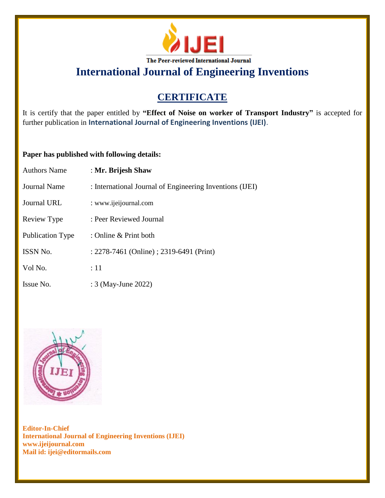

**International Journal of Engineering Inventions**

## **CERTIFICATE**

It is certify that the paper entitled by **"Effect of Noise on worker of Transport Industry"** is accepted for further publication in **International Journal of Engineering Inventions (IJEI)**.

## **Paper has published with following details:**

| <b>Authors Name</b>     | : Mr. Brijesh Shaw                                       |
|-------------------------|----------------------------------------------------------|
| <b>Journal Name</b>     | : International Journal of Engineering Inventions (IJEI) |
| <b>Journal URL</b>      | : www.ijeijournal.com                                    |
| Review Type             | : Peer Reviewed Journal                                  |
| <b>Publication Type</b> | : Online & Print both                                    |
| <b>ISSN No.</b>         | : 2278-7461 (Online) ; 2319-6491 (Print)                 |
| Vol No.                 | :11                                                      |
| Issue No.               | : 3 (May-June 2022)                                      |



**Editor-In-Chief International Journal of Engineering Inventions (IJEI) www.ijeijournal.com Mail id: ijei@editormails.com**